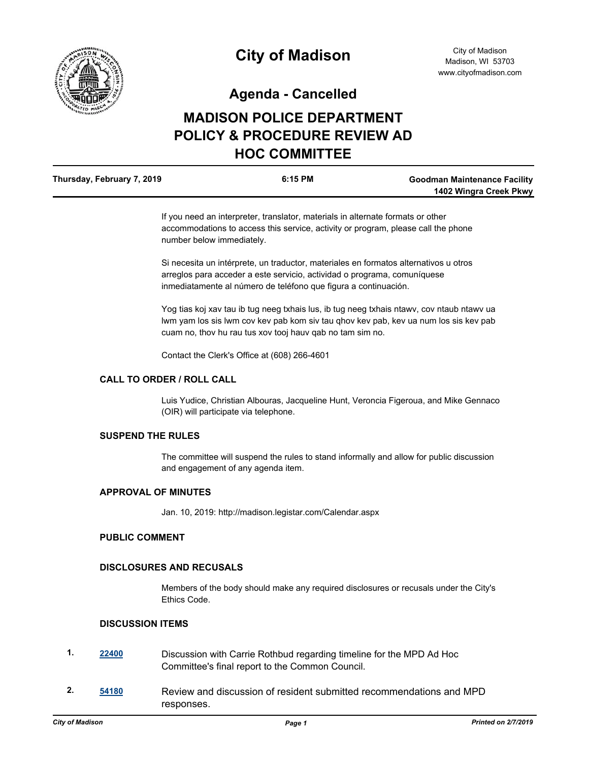

**Agenda - Cancelled**

# **MADISON POLICE DEPARTMENT POLICY & PROCEDURE REVIEW AD HOC COMMITTEE**

| Thursday, February 7, 2019 | $6:15$ PM | <b>Goodman Maintenance Facility</b> |
|----------------------------|-----------|-------------------------------------|
|                            |           | 1402 Wingra Creek Pkwy              |

If you need an interpreter, translator, materials in alternate formats or other accommodations to access this service, activity or program, please call the phone number below immediately.

Si necesita un intérprete, un traductor, materiales en formatos alternativos u otros arreglos para acceder a este servicio, actividad o programa, comuníquese inmediatamente al número de teléfono que figura a continuación.

Yog tias koj xav tau ib tug neeg txhais lus, ib tug neeg txhais ntawv, cov ntaub ntawv ua lwm yam los sis lwm cov kev pab kom siv tau qhov kev pab, kev ua num los sis kev pab cuam no, thov hu rau tus xov tooj hauv qab no tam sim no.

Contact the Clerk's Office at (608) 266-4601

## **CALL TO ORDER / ROLL CALL**

Luis Yudice, Christian Albouras, Jacqueline Hunt, Veroncia Figeroua, and Mike Gennaco (OIR) will participate via telephone.

## **SUSPEND THE RULES**

The committee will suspend the rules to stand informally and allow for public discussion and engagement of any agenda item.

#### **APPROVAL OF MINUTES**

Jan. 10, 2019: http://madison.legistar.com/Calendar.aspx

### **PUBLIC COMMENT**

## **DISCLOSURES AND RECUSALS**

Members of the body should make any required disclosures or recusals under the City's Ethics Code.

#### **DISCUSSION ITEMS**

- **1. [22400](http://madison.legistar.com/gateway.aspx?m=l&id=/matter.aspx?key=24760)** Discussion with Carrie Rothbud regarding timeline for the MPD Ad Hoc Committee's final report to the Common Council.
- **2. [54180](http://madison.legistar.com/gateway.aspx?m=l&id=/matter.aspx?key=63720)** Review and discussion of resident submitted recommendations and MPD responses.